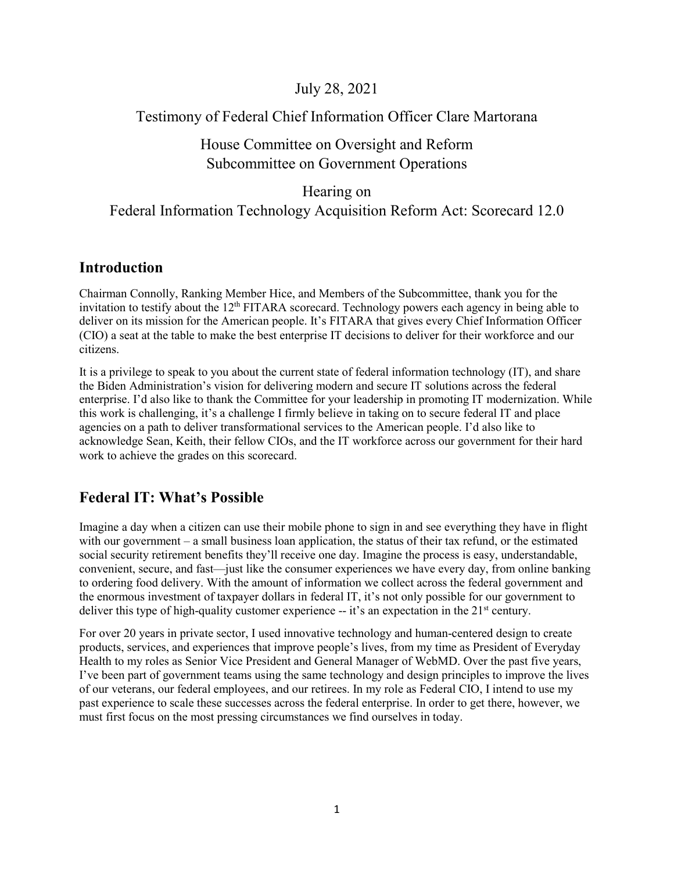# July 28, 2021

# Testimony of Federal Chief Information Officer Clare Martorana

#### House Committee on Oversight and Reform Subcommittee on Government Operations

# Hearing on

# Federal Information Technology Acquisition Reform Act: Scorecard 12.0

# **Introduction**

Chairman Connolly, Ranking Member Hice, and Members of the Subcommittee, thank you for the invitation to testify about the 12<sup>th</sup> FITARA scorecard. Technology powers each agency in being able to deliver on its mission for the American people. It's FITARA that gives every Chief Information Officer (CIO) a seat at the table to make the best enterprise IT decisions to deliver for their workforce and our citizens.

It is a privilege to speak to you about the current state of federal information technology (IT), and share the Biden Administration's vision for delivering modern and secure IT solutions across the federal enterprise. I'd also like to thank the Committee for your leadership in promoting IT modernization. While this work is challenging, it's a challenge I firmly believe in taking on to secure federal IT and place agencies on a path to deliver transformational services to the American people. I'd also like to acknowledge Sean, Keith, their fellow CIOs, and the IT workforce across our government for their hard work to achieve the grades on this scorecard.

# **Federal IT: What's Possible**

Imagine a day when a citizen can use their mobile phone to sign in and see everything they have in flight with our government – a small business loan application, the status of their tax refund, or the estimated social security retirement benefits they'll receive one day. Imagine the process is easy, understandable, convenient, secure, and fast—just like the consumer experiences we have every day, from online banking to ordering food delivery. With the amount of information we collect across the federal government and the enormous investment of taxpayer dollars in federal IT, it's not only possible for our government to deliver this type of high-quality customer experience  $-$  it's an expectation in the  $21<sup>st</sup>$  century.

For over 20 years in private sector, I used innovative technology and human-centered design to create products, services, and experiences that improve people's lives, from my time as President of Everyday Health to my roles as Senior Vice President and General Manager of WebMD. Over the past five years, I've been part of government teams using the same technology and design principles to improve the lives of our veterans, our federal employees, and our retirees. In my role as Federal CIO, I intend to use my past experience to scale these successes across the federal enterprise. In order to get there, however, we must first focus on the most pressing circumstances we find ourselves in today.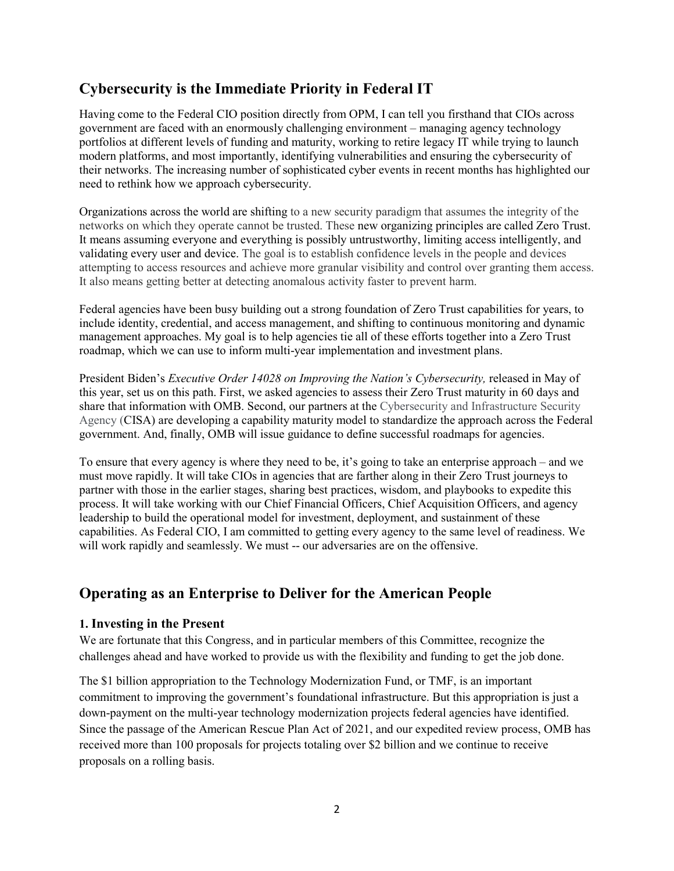# **Cybersecurity is the Immediate Priority in Federal IT**

Having come to the Federal CIO position directly from OPM, I can tell you firsthand that CIOs across government are faced with an enormously challenging environment – managing agency technology portfolios at different levels of funding and maturity, working to retire legacy IT while trying to launch modern platforms, and most importantly, identifying vulnerabilities and ensuring the cybersecurity of their networks. The increasing number of sophisticated cyber events in recent months has highlighted our need to rethink how we approach cybersecurity.

Organizations across the world are shifting to a new security paradigm that assumes the integrity of the networks on which they operate cannot be trusted. These new organizing principles are called Zero Trust. It means assuming everyone and everything is possibly untrustworthy, limiting access intelligently, and validating every user and device. The goal is to establish confidence levels in the people and devices attempting to access resources and achieve more granular visibility and control over granting them access. It also means getting better at detecting anomalous activity faster to prevent harm.

Federal agencies have been busy building out a strong foundation of Zero Trust capabilities for years, to include identity, credential, and access management, and shifting to continuous monitoring and dynamic management approaches. My goal is to help agencies tie all of these efforts together into a Zero Trust roadmap, which we can use to inform multi-year implementation and investment plans.

President Biden's *Executive Order 14028 on Improving the Nation's Cybersecurity,* released in May of this year, set us on this path. First, we asked agencies to assess their Zero Trust maturity in 60 days and share that information with OMB. Second, our partners at the Cybersecurity and Infrastructure Security Agency (CISA) are developing a capability maturity model to standardize the approach across the Federal government. And, finally, OMB will issue guidance to define successful roadmaps for agencies.

To ensure that every agency is where they need to be, it's going to take an enterprise approach – and we must move rapidly. It will take CIOs in agencies that are farther along in their Zero Trust journeys to partner with those in the earlier stages, sharing best practices, wisdom, and playbooks to expedite this process. It will take working with our Chief Financial Officers, Chief Acquisition Officers, and agency leadership to build the operational model for investment, deployment, and sustainment of these capabilities. As Federal CIO, I am committed to getting every agency to the same level of readiness. We will work rapidly and seamlessly. We must -- our adversaries are on the offensive.

# **Operating as an Enterprise to Deliver for the American People**

#### **1. Investing in the Present**

We are fortunate that this Congress, and in particular members of this Committee, recognize the challenges ahead and have worked to provide us with the flexibility and funding to get the job done.

The \$1 billion appropriation to the Technology Modernization Fund, or TMF, is an important commitment to improving the government's foundational infrastructure. But this appropriation is just a down-payment on the multi-year technology modernization projects federal agencies have identified. Since the passage of the American Rescue Plan Act of 2021, and our expedited review process, OMB has received more than 100 proposals for projects totaling over \$2 billion and we continue to receive proposals on a rolling basis.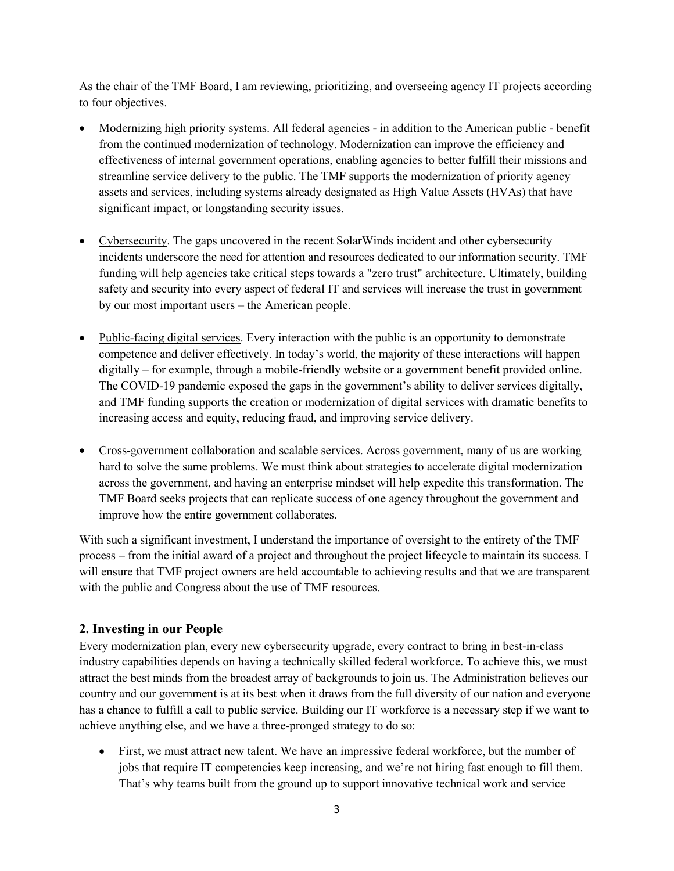As the chair of the TMF Board, I am reviewing, prioritizing, and overseeing agency IT projects according to four objectives.

- Modernizing high priority systems. All federal agencies in addition to the American public benefit from the continued modernization of technology. Modernization can improve the efficiency and effectiveness of internal government operations, enabling agencies to better fulfill their missions and streamline service delivery to the public. The TMF supports the modernization of priority agency assets and services, including systems already designated as High Value Assets (HVAs) that have significant impact, or longstanding security issues.
- Cybersecurity. The gaps uncovered in the recent SolarWinds incident and other cybersecurity incidents underscore the need for attention and resources dedicated to our information security. TMF funding will help agencies take critical steps towards a "zero trust" architecture. Ultimately, building safety and security into every aspect of federal IT and services will increase the trust in government by our most important users – the American people.
- Public-facing digital services. Every interaction with the public is an opportunity to demonstrate competence and deliver effectively. In today's world, the majority of these interactions will happen digitally – for example, through a mobile-friendly website or a government benefit provided online. The COVID-19 pandemic exposed the gaps in the government's ability to deliver services digitally, and TMF funding supports the creation or modernization of digital services with dramatic benefits to increasing access and equity, reducing fraud, and improving service delivery.
- Cross-government collaboration and scalable services. Across government, many of us are working hard to solve the same problems. We must think about strategies to accelerate digital modernization across the government, and having an enterprise mindset will help expedite this transformation. The TMF Board seeks projects that can replicate success of one agency throughout the government and improve how the entire government collaborates.

With such a significant investment, I understand the importance of oversight to the entirety of the TMF process – from the initial award of a project and throughout the project lifecycle to maintain its success. I will ensure that TMF project owners are held accountable to achieving results and that we are transparent with the public and Congress about the use of TMF resources.

#### **2. Investing in our People**

Every modernization plan, every new cybersecurity upgrade, every contract to bring in best-in-class industry capabilities depends on having a technically skilled federal workforce. To achieve this, we must attract the best minds from the broadest array of backgrounds to join us. The Administration believes our country and our government is at its best when it draws from the full diversity of our nation and everyone has a chance to fulfill a call to public service. Building our IT workforce is a necessary step if we want to achieve anything else, and we have a three-pronged strategy to do so:

• First, we must attract new talent. We have an impressive federal workforce, but the number of jobs that require IT competencies keep increasing, and we're not hiring fast enough to fill them. That's why teams built from the ground up to support innovative technical work and service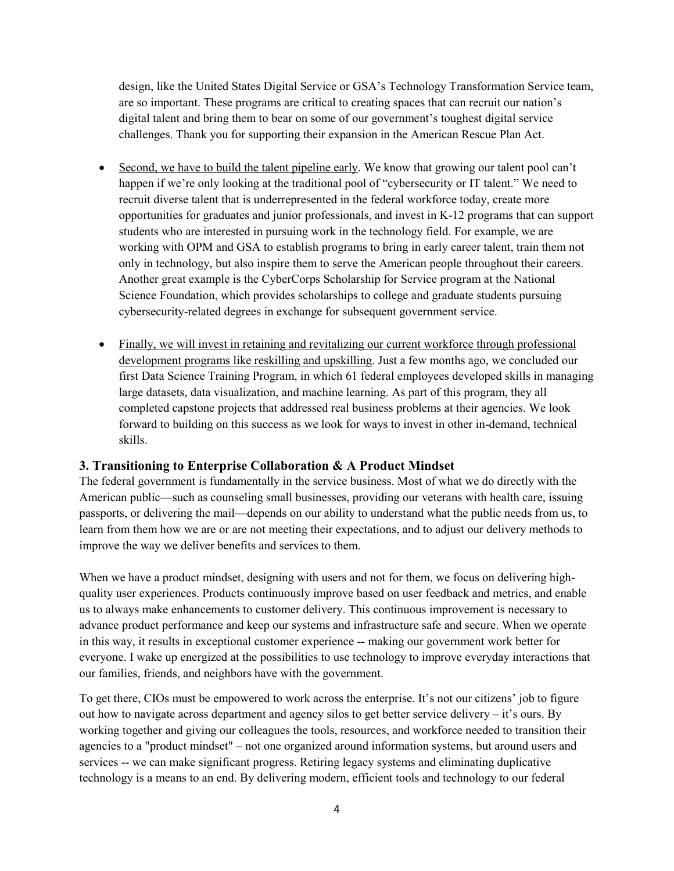design, like the United States Digital Service or GSA's Technology Transformation Service team, are so important. These programs are critical to creating spaces that can recruit our nation's digital talent and bring them to bear on some of our government's toughest digital service challenges. Thank you for supporting their expansion in the American Rescue Plan Act.

- Second, we have to build the talent pipeline early. We know that growing our talent pool can't happen if we're only looking at the traditional pool of "cybersecurity or IT talent." We need to recruit diverse talent that is underrepresented in the federal workforce today, create more opportunities for graduates and junior professionals, and invest in K-12 programs that can support students who are interested in pursuing work in the technology field. For example, we are working with OPM and GSA to establish programs to bring in early career talent, train them not only in technology, but also inspire them to serve the American people throughout their careers. Another great example is the CyberCorps Scholarship for Service program at the National Science Foundation, which provides scholarships to college and graduate students pursuing cybersecurity-related degrees in exchange for subsequent government service.
- Finally, we will invest in retaining and revitalizing our current workforce through professional development programs like reskilling and upskilling. Just a few months ago, we concluded our first Data Science Training Program, in which 61 federal employees developed skills in managing large datasets, data visualization, and machine learning. As part of this program, they all completed capstone projects that addressed real business problems at their agencies. We look forward to building on this success as we look for ways to invest in other in-demand, technical skills.

#### **3. Transitioning to Enterprise Collaboration & A Product Mindset**

The federal government is fundamentally in the service business. Most of what we do directly with the American public—such as counseling small businesses, providing our veterans with health care, issuing passports, or delivering the mail—depends on our ability to understand what the public needs from us, to learn from them how we are or are not meeting their expectations, and to adjust our delivery methods to improve the way we deliver benefits and services to them.

When we have a product mindset, designing with users and not for them, we focus on delivering highquality user experiences. Products continuously improve based on user feedback and metrics, and enable us to always make enhancements to customer delivery. This continuous improvement is necessary to advance product performance and keep our systems and infrastructure safe and secure. When we operate in this way, it results in exceptional customer experience -- making our government work better for everyone. I wake up energized at the possibilities to use technology to improve everyday interactions that our families, friends, and neighbors have with the government.

To get there, CIOs must be empowered to work across the enterprise. It's not our citizens' job to figure out how to navigate across department and agency silos to get better service delivery – it's ours. By working together and giving our colleagues the tools, resources, and workforce needed to transition their agencies to a "product mindset" – not one organized around information systems, but around users and services -- we can make significant progress. Retiring legacy systems and eliminating duplicative technology is a means to an end. By delivering modern, efficient tools and technology to our federal